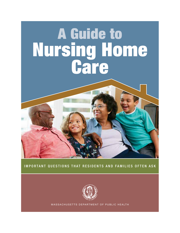# A Guide to Nursing Home



#### IMPORTANT QUESTIONS THAT RESIDENTS AND FAMILIES OFTEN ASK



MASSACHUSETTS DEPARTMENT OF PUBLIC HEALTH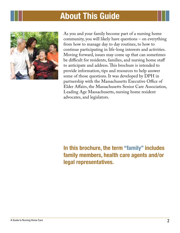# About This Guide



As you and your family become part of a nursing home community, you will likely have questions – on everything from how to manage day to day routines, to how to continue participating in life-long interests and activities. Moving forward, issues may come up that can sometimes be difficult for residents, families, and nursing home staff to anticipate and address. This brochure is intended to provide information, tips and resources to help answer some of those questions. It was developed by DPH in partnership with the Massachusetts Executive Office of Elder Affairs, the Massachusetts Senior Care Association, Leading Age Massachusetts, nursing home resident advocates, and legislators.

## In this brochure, the term "family" includes family members, health care agents and/or legal representatives.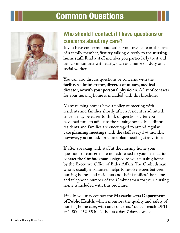

## Who should I contact if I have questions or concerns about my care?

If you have concerns about either your own care or the care of a family member, first try talking directly to the **nursing home staff**. Find a staff member you particularly trust and can communicate with easily, such as a nurse on duty or a social worker.

You can also discuss questions or concerns with the **facility's administrator, director of nurses, medical director, or with your personal physician**. A list of contacts for your nursing home is included with this brochure.

Many nursing homes have a policy of meeting with residents and families shortly after a resident is admitted, since it may be easier to think of questions after you have had time to adjust to the nursing home. In addition, residents and families are encouraged to attend regular **care planning meetings** with the staff every 3-4 months, however, you can ask for a care plan meeting at any time.

If after speaking with staff at the nursing home your questions or concerns are not addressed to your satisfaction, contact the **Ombudsman** assigned to your nursing home by the Executive Office of Elder Affairs. The Ombudsman, who is usually a volunteer, helps to resolve issues between nursing homes and residents and their families. The name and telephone number of the Ombudsman for your nursing home is included with this brochure.

Finally, you may contact the **Massachusetts Department of Public Health**, which monitors the quality and safety of nursing home care, with any concerns. You can reach DPH at 1-800-462-5540, 24 hours a day, 7 days a week.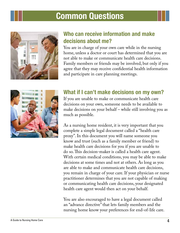

## Who can receive information and make decisions about me?

You are in charge of your own care while in the nursing home, unless a doctor or court has determined that you are not able to make or communicate health care decisions. Family members or friends may be involved, but only if you agree that they may receive confidential health information and participate in care planning meetings.



## What if I can't make decisions on my own?

If you are unable to make or communicate health care decisions on your own, someone needs to be available to make decisions on your behalf – while still involving you as much as possible.

As a nursing home resident, it is very important that you complete a simple legal document called a "health care proxy". In this document you will name someone you know and trust (such as a family member or friend) to make health care decisions for you if you are unable to do so. This decision-maker is called a health care agent. With certain medical conditions, you may be able to make decisions at some times and not at others. As long as you are able to make and communicate health care decisions, you remain in charge of your care. If your physician or nurse practitioner determines that you are not capable of making or communicating health care decisions, your designated health care agent would then act on your behalf.

You are also encouraged to have a legal document called an "advance directive" that lets family members and the nursing home know your preferences for end-of-life care.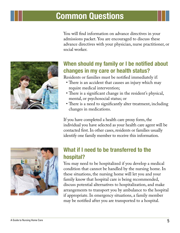You will find information on advance directives in your admissions packet. You are encouraged to discuss these advance directives with your physician, nurse practitioner, or social worker.



#### When should my family or I be notified about changes in my care or health status?

Residents or families must be notified immediately if:

- There is an accident that causes an injury which may require medical intervention;
- There is a significant change in the resident's physical, mental, or psychosocial status; or
- There is a need to significantly alter treatment, including changes in medications.

If you have completed a health care proxy form, the individual you have selected as your health care agent will be contacted first. In other cases, residents or families usually identify one family member to receive this information.



## What if I need to be transferred to the hospital?

You may need to be hospitalized if you develop a medical condition that cannot be handled by the nursing home. In these situations, the nursing home will let you and your family know that hospital care is being recommended, discuss potential alternatives to hospitalization, and make arrangements to transport you by ambulance to the hospital if appropriate. In emergency situations, a family member may be notified after you are transported to a hospital.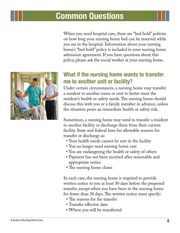When you need hospital care, there are "bed hold" policies on how long your nursing home bed can be reserved while you are in the hospital. Information about your nursing home's "bed hold" policy is included in your nursing home admission agreement. If you have questions about this policy, please ask the social worker at your nursing home.

## What if the nursing home wants to transfer me to another unit or facility?

Under certain circumstances, a nursing home may transfer a resident to another room or unit to better meet the resident's health or safety needs. The nursing home should discuss this with you or a family member in advance, unless the situation poses an immediate health or safety risk.

Sometimes, a nursing home may need to transfer a resident to another facility or discharge them from their current facility. State and federal laws list allowable reasons for transfer or discharge as:

- • Your health needs cannot be met in the facility
- You no longer need nursing home care
- You are endangering the health or safety of others
- • Payment has not been received after reasonable and appropriate notice
- The nursing home closes

In each case, the nursing home is required to provide written notice to you at least 30 days before the proposed transfer, except when you have been in the nursing home for fewer than 30 days. The written notice must specify:

- The reasons for the transfer
- • Transfer effective date
- • Where you will be transferred

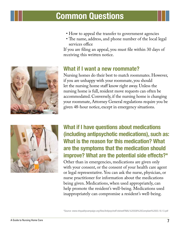- How to appeal the transfer to government agencies
- The name, address, and phone number of the local legal services office

If you are filing an appeal, you must file within 30 days of receiving this written notice.

#### What if I want a new roommate?

Nursing homes do their best to match roommates. However, if you are unhappy with your roommate, you should let the nursing home staff know right away. Unless the nursing home is full, resident move requests can often be accommodated. Conversely, if the nursing home is changing your roommate, Attorney General regulations require you be given 48-hour notice, except in emergency situations.



What if I have questions about medications (including antipsychotic medications), such as: What is the reason for this medication? What are the symptoms that the medication should improve? What are the potential side effects?\*

Other than in emergencies, medications are given only with your consent, or the consent of your health care agent or legal representative. You can ask the nurse, physician, or nurse practitioner for information about the medications being given. Medications, when used appropriately, can help promote the resident's well-being. Medications used inappropriately can compromise a resident's well-being.

\*Source: www.nhqualitycampaign.org/files/AntipsychotFctsheetFINAL%20508%20Compliant%2003.18.13.pdf

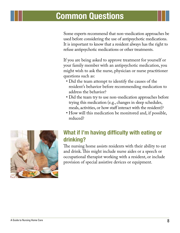Some experts recommend that non-medication approaches be used before considering the use of antipsychotic medications. It is important to know that a resident always has the right to refuse antipsychotic medications or other treatments.

If you are being asked to approve treatment for yourself or your family member with an antipsychotic medication, you might wish to ask the nurse, physician or nurse practitioner questions such as:

- • Did the team attempt to identify the causes of the resident's behavior before recommending medication to address the behavior?
- Did the team try to use non-medication approaches before trying this medication (e.g., changes in sleep schedules, meals, activities, or how staff interact with the resident)?
- How will this medication be monitored and, if possible, reduced?



## What if I'm having difficulty with eating or drinking?

The nursing home assists residents with their ability to eat and drink. This might include nurse aides or a speech or occupational therapist working with a resident, or include provision of special assistive devices or equipment.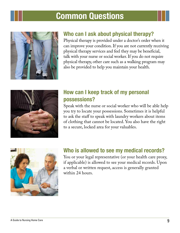

#### Who can I ask about physical therapy?

Physical therapy is provided under a doctor's order when it can improve your condition. If you are not currently receiving physical therapy services and feel they may be beneficial, talk with your nurse or social worker. If you do not require physical therapy, other care such as a walking program may also be provided to help you maintain your health.



#### How can I keep track of my personal possessions?

Speak with the nurse or social worker who will be able help you try to locate your possessions. Sometimes it is helpful to ask the staff to speak with laundry workers about items of clothing that cannot be located. You also have the right to a secure, locked area for your valuables.



#### Who is allowed to see my medical records?

You or your legal representative (or your health care proxy, if applicable) is allowed to see your medical records. Upon a verbal or written request, access is generally granted within 24 hours.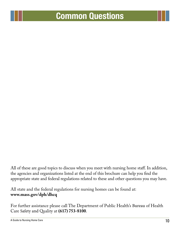All of these are good topics to discuss when you meet with nursing home staff. In addition, the agencies and organizations listed at the end of this brochure can help you find the appropriate state and federal regulations related to these and other questions you may have.

All state and the federal regulations for nursing homes can be found at: **www.mass.gov/dph/dhcq**

For further assistance please call The Department of Public Health's Bureau of Health Care Safety and Quality at **(617) 753-8100**.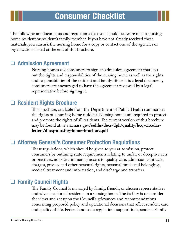The following are documents and regulations that you should be aware of as a nursing home resident or resident's family member. If you have not already received these materials, you can ask the nursing home for a copy or contact one of the agencies or organizations listed at the end of this brochure.

#### ❑ Admission Agreement

Nursing homes ask consumers to sign an admission agreement that lays out the rights and responsibilities of the nursing home as well as the rights and responsibilities of the resident and family. Since it is a legal document, consumers are encouraged to have the agreement reviewed by a legal representative before signing it.

#### ❑ Resident Rights Brochure

This brochure, available from the Department of Public Health summarizes the rights of a nursing home resident. Nursing homes are required to protect and promote the rights of all residents. The current version of this brochure may be found at: **www.mass.gov/eohhs/docs/dph/quality/hcq-circularletters/dhcq-nursing-home-brochure.pdf**

#### ❑ Attorney General's Consumer Protection Regulations

These regulations, which should be given to you at admission, protect consumers by outlining state requirements relating to unfair or deceptive acts or practices, non-discriminatory access to quality care, admission contracts, charges, privacy and other personal rights, personal funds and belongings, medical treatment and information, and discharge and transfers.

#### ❑ Family Council Rights

The Family Council is managed by family, friends, or chosen representatives and advocates for all residents in a nursing home. The facility is to consider the views and act upon the Council's grievances and recommendations concerning proposed policy and operational decisions that affect resident care and quality of life. Federal and state regulations support independent Family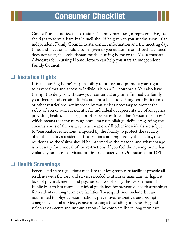Council's and a notice that a resident's family member (or representative) has the right to form a Family Council should be given to you at admission. If an independent Family Council exists, contact information and the meeting day, time, and location should also be given to you at admission. If such a council does not exist, the ombudsman for the nursing home or the Massachusetts Advocates for Nursing Home Reform can help you start an independent Family Council.

#### ❑ Visitation Rights

It is the nursing home's responsibility to protect and promote your right to have visitors and access to individuals on a 24-hour basis. You also have the right to deny or withdraw your consent at any time. Immediate family, your doctor, and certain officials are not subject to visiting hour limitations or other restrictions not imposed by you, unless necessary to protect the safety of you or other residents. An individual or representative of an agency providing health, social, legal or other services to you has "reasonable access", which means that the nursing home may establish guidelines regarding the circumstances of the visit, such as location. All other individuals are subject to "reasonable restrictions" imposed by the facility to protect the security of all the facility's residents. If restrictions are imposed by the facility, the resident and the visitor should be informed of the reasons, and what change is necessary for removal of the restrictions. If you feel the nursing home has violated your access or visitation rights, contact your Ombudsman or DPH.

#### ❑ Health Screenings

Federal and state regulations mandate that long term care facilities provide all residents with the care and services needed to attain or maintain the highest level of physical, mental and psychosocial well-being. The Department of Public Health has compiled clinical guidelines for preventive health screenings for residents of long term care facilities. These guidelines include, but are not limited to: physical examinations, preventive, restorative, and prompt emergency dental services, cancer screenings (including oral), hearing and vision assessments and immunizations. The complete list of long term care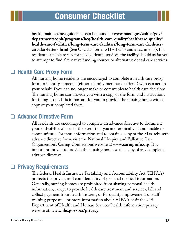health maintenance guidelines can be found at: **www.mass.gov/eohhs/gov/ departments/dph/programs/hcq/health-care-quality/healthcare-quality/ health-care-facilities/long-term-care-facilities/long-term-care-facilitiescircular-letters.html** (See Circular Letter #11-01-543 and attachments). If a resident is unable to pay for needed dental services, the facility should assist you to attempt to find alternative funding sources or alternative dental care services.

#### ❑ Health Care Proxy Form

All nursing home residents are encouraged to complete a health care proxy form to identify someone (either a family member or friend) who can act on your behalf if you can no longer make or communicate health care decisions. The nursing home can provide you with a copy of the form and instructions for filling it out. It is important for you to provide the nursing home with a copy of your completed form.

#### □ Advance Directive Form

All residents are encouraged to complete an advance directive to document your end-of-life wishes in the event that you are terminally ill and unable to communicate. For more information and to obtain a copy of the Massachusetts advance directive form, visit the National Hospice and Palliative Care Organization's Caring Connections website at **www.caringinfo.org**. It is important for you to provide the nursing home with a copy of any completed advance directive.

#### ❑ Privacy Requirements

The federal Health Insurance Portability and Accountability Act (HIPAA) protects the privacy and confidentiality of personal medical information. Generally, nursing homes are prohibited from sharing personal health information, except to provide health care treatment and services, bill and collect payment from health insurers, or for quality improvement or staff training purposes. For more information about HIPAA, visit the U.S. Department of Health and Human Services' health information privacy website at: **www.hhs.gov/ocr/privacy**.